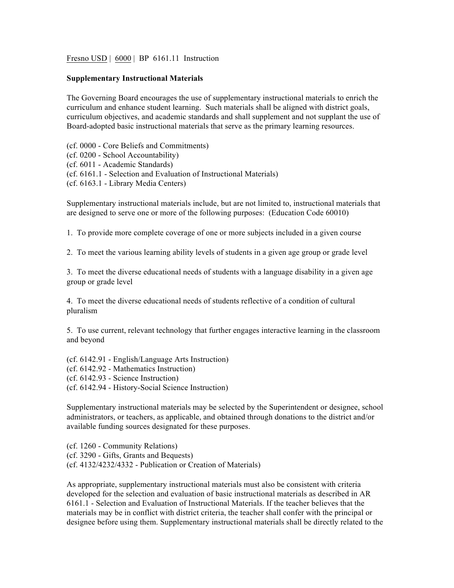Fresno USD | 6000 | BP 6161.11 Instruction

## **Supplementary Instructional Materials**

The Governing Board encourages the use of supplementary instructional materials to enrich the curriculum and enhance student learning. Such materials shall be aligned with district goals, curriculum objectives, and academic standards and shall supplement and not supplant the use of Board-adopted basic instructional materials that serve as the primary learning resources.

(cf. 0000 - Core Beliefs and Commitments) (cf. 0200 - School Accountability) (cf. 6011 - Academic Standards) (cf. 6161.1 - Selection and Evaluation of Instructional Materials) (cf. 6163.1 - Library Media Centers)

Supplementary instructional materials include, but are not limited to, instructional materials that are designed to serve one or more of the following purposes: (Education Code 60010)

1. To provide more complete coverage of one or more subjects included in a given course

2. To meet the various learning ability levels of students in a given age group or grade level

3. To meet the diverse educational needs of students with a language disability in a given age group or grade level

4. To meet the diverse educational needs of students reflective of a condition of cultural pluralism

5. To use current, relevant technology that further engages interactive learning in the classroom and beyond

(cf. 6142.91 - English/Language Arts Instruction) (cf. 6142.92 - Mathematics Instruction) (cf. 6142.93 - Science Instruction) (cf. 6142.94 - History-Social Science Instruction)

Supplementary instructional materials may be selected by the Superintendent or designee, school administrators, or teachers, as applicable, and obtained through donations to the district and/or available funding sources designated for these purposes.

(cf. 1260 - Community Relations) (cf. 3290 - Gifts, Grants and Bequests) (cf. 4132/4232/4332 - Publication or Creation of Materials)

As appropriate, supplementary instructional materials must also be consistent with criteria developed for the selection and evaluation of basic instructional materials as described in AR 6161.1 - Selection and Evaluation of Instructional Materials. If the teacher believes that the materials may be in conflict with district criteria, the teacher shall confer with the principal or designee before using them. Supplementary instructional materials shall be directly related to the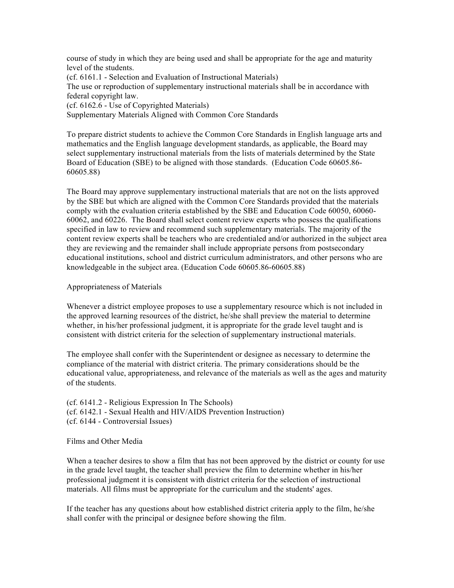course of study in which they are being used and shall be appropriate for the age and maturity level of the students. (cf. 6161.1 - Selection and Evaluation of Instructional Materials) The use or reproduction of supplementary instructional materials shall be in accordance with federal copyright law. (cf. 6162.6 - Use of Copyrighted Materials) Supplementary Materials Aligned with Common Core Standards

To prepare district students to achieve the Common Core Standards in English language arts and mathematics and the English language development standards, as applicable, the Board may select supplementary instructional materials from the lists of materials determined by the State Board of Education (SBE) to be aligned with those standards. (Education Code 60605.86- 60605.88)

The Board may approve supplementary instructional materials that are not on the lists approved by the SBE but which are aligned with the Common Core Standards provided that the materials comply with the evaluation criteria established by the SBE and Education Code 60050, 60060- 60062, and 60226. The Board shall select content review experts who possess the qualifications specified in law to review and recommend such supplementary materials. The majority of the content review experts shall be teachers who are credentialed and/or authorized in the subject area they are reviewing and the remainder shall include appropriate persons from postsecondary educational institutions, school and district curriculum administrators, and other persons who are knowledgeable in the subject area. (Education Code 60605.86-60605.88)

## Appropriateness of Materials

Whenever a district employee proposes to use a supplementary resource which is not included in the approved learning resources of the district, he/she shall preview the material to determine whether, in his/her professional judgment, it is appropriate for the grade level taught and is consistent with district criteria for the selection of supplementary instructional materials.

The employee shall confer with the Superintendent or designee as necessary to determine the compliance of the material with district criteria. The primary considerations should be the educational value, appropriateness, and relevance of the materials as well as the ages and maturity of the students.

(cf. 6141.2 - Religious Expression In The Schools) (cf. 6142.1 - Sexual Health and HIV/AIDS Prevention Instruction) (cf. 6144 - Controversial Issues)

Films and Other Media

When a teacher desires to show a film that has not been approved by the district or county for use in the grade level taught, the teacher shall preview the film to determine whether in his/her professional judgment it is consistent with district criteria for the selection of instructional materials. All films must be appropriate for the curriculum and the students' ages.

If the teacher has any questions about how established district criteria apply to the film, he/she shall confer with the principal or designee before showing the film.